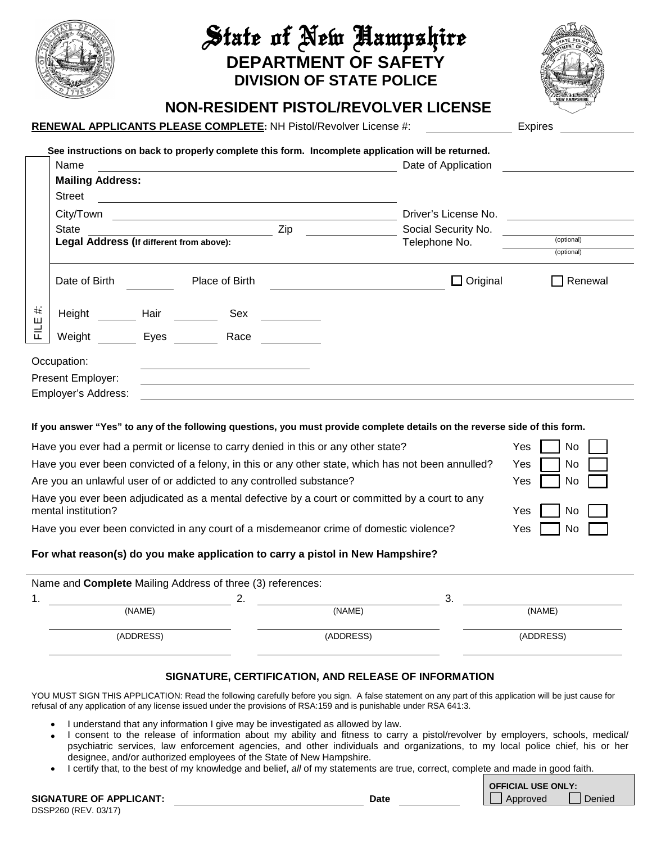

# State of New Hampshire **DEPARTMENT OF SAFETY DIVISION OF STATE POLICE**



## **NON-RESIDENT PISTOL/REVOLVER LICENSE**

### **RENEWAL APPLICANTS PLEASE COMPLETE: NH Pistol/Revolver License #:**

| <b>Expires</b> |
|----------------|

|           | Name                                                     |      | <u> 1999 - Johann Stoff, amerikansk politiker (</u> † 1908)                                 | See instructions on back to properly complete this form. Incomplete application will be returned.<br>Date of Application |                          |  |
|-----------|----------------------------------------------------------|------|---------------------------------------------------------------------------------------------|--------------------------------------------------------------------------------------------------------------------------|--------------------------|--|
|           | <b>Mailing Address:</b>                                  |      |                                                                                             |                                                                                                                          |                          |  |
|           | <b>Street</b>                                            |      |                                                                                             |                                                                                                                          |                          |  |
|           | Zip<br>State<br>Legal Address (If different from above): |      |                                                                                             | Driver's License No.                                                                                                     | (optional)<br>(optional) |  |
|           |                                                          |      |                                                                                             | Social Security No.                                                                                                      |                          |  |
|           |                                                          |      |                                                                                             | Telephone No.                                                                                                            |                          |  |
|           | Date of Birth                                            |      | Place of Birth                                                                              | $\Box$ Original                                                                                                          | Renewal                  |  |
| $\ddot{}$ | Height                                                   | Hair | Sex                                                                                         |                                                                                                                          |                          |  |
| 빝<br>i    | Weight                                                   | Eyes | Race                                                                                        |                                                                                                                          |                          |  |
|           | Occupation:<br>Present Employer:                         |      | <u>a sa salah sahiji désa di kacamatan Sababaran Sababaran Sababaran Sababaran Sababara</u> |                                                                                                                          |                          |  |
|           | Employer's Address:                                      |      |                                                                                             |                                                                                                                          |                          |  |

#### **If you answer "Yes" to any of the following questions, you must provide complete details on the reverse side of this form.**

| Have you ever had a permit or license to carry denied in this or any other state?                                     | No I<br>Yes                                                   |
|-----------------------------------------------------------------------------------------------------------------------|---------------------------------------------------------------|
| Have you ever been convicted of a felony, in this or any other state, which has not been annulled?                    | No<br>Yes                                                     |
| Are you an unlawful user of or addicted to any controlled substance?                                                  | $No$ $\Box$<br>Yes                                            |
| Have you ever been adjudicated as a mental defective by a court or committed by a court to any<br>mental institution? | No<br>Yes                                                     |
| Have you ever been convicted in any court of a misdemeanor crime of domestic violence?                                | $\overline{\phantom{a}}$ No $\overline{\phantom{a}}$<br>Yes I |
|                                                                                                                       |                                                               |

#### **For what reason(s) do you make application to carry a pistol in New Hampshire?**

|    | Name and Complete Mailing Address of three (3) references: |          |           |      |           |  |
|----|------------------------------------------------------------|----------|-----------|------|-----------|--|
| 1. |                                                            | <u>.</u> |           | - 3. |           |  |
|    | (NAME)                                                     |          | (NAME)    |      | (NAME)    |  |
|    | (ADDRESS)                                                  |          | (ADDRESS) |      | (ADDRESS) |  |

#### **SIGNATURE, CERTIFICATION, AND RELEASE OF INFORMATION**

YOU MUST SIGN THIS APPLICATION: Read the following carefully before you sign. A false statement on any part of this application will be just cause for refusal of any application of any license issued under the provisions of RSA:159 and is punishable under RSA 641:3.

- I understand that any information I give may be investigated as allowed by law.
- I consent to the release of information about my ability and fitness to carry a pistol/revolver by employers, schools, medical/ psychiatric services, law enforcement agencies, and other individuals and organizations, to my local police chief, his or her designee, and/or authorized employees of the State of New Hampshire.
	- I certify that, to the best of my knowledge and belief, *all* of my statements are true, correct, complete and made in good faith.

| <b>SIGNATURE OF APPLICANT:</b> | Date |
|--------------------------------|------|
| DSSP260 (REV. 03/17)           |      |